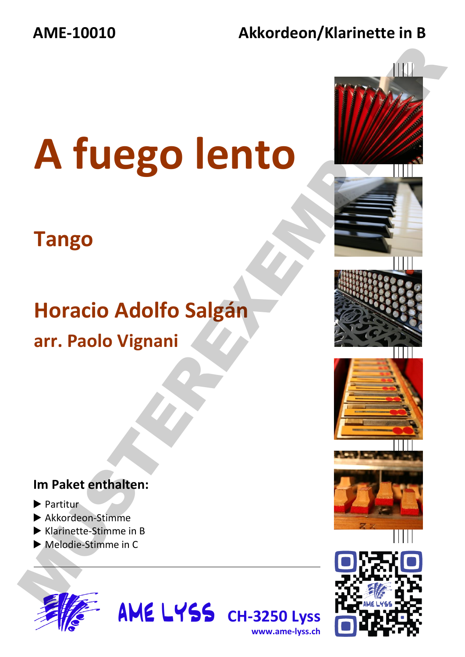### **AME-10010 Akkordeon/Klarinette in B**

# **A fuego lento**  A fuego lento

## **Tango**

# **Horacio Adolfo Salgán arr. Paolo Vignani**

**AME LYSS** CH-3250 Lyss

**www.ame-lyss.ch**

### **Im Paket enthalten:**

- ▶ Partitur
- ▶ Akkordeon-Stimme
- ▶ Klarinette-Stimme in B
- ▶ Melodie-Stimme in C